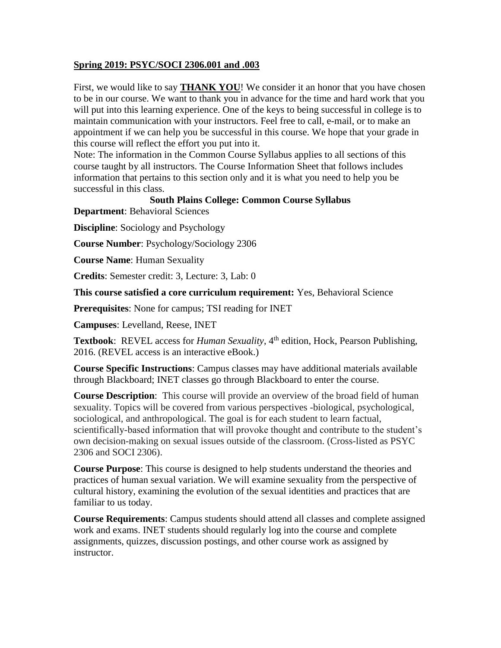# **Spring 2019: PSYC/SOCI 2306.001 and .003**

First, we would like to say **THANK YOU**! We consider it an honor that you have chosen to be in our course. We want to thank you in advance for the time and hard work that you will put into this learning experience. One of the keys to being successful in college is to maintain communication with your instructors. Feel free to call, e-mail, or to make an appointment if we can help you be successful in this course. We hope that your grade in this course will reflect the effort you put into it.

Note: The information in the Common Course Syllabus applies to all sections of this course taught by all instructors. The Course Information Sheet that follows includes information that pertains to this section only and it is what you need to help you be successful in this class.

# **South Plains College: Common Course Syllabus**

**Department**: Behavioral Sciences

**Discipline**: Sociology and Psychology

**Course Number**: Psychology/Sociology 2306

**Course Name**: Human Sexuality

**Credits**: Semester credit: 3, Lecture: 3, Lab: 0

**This course satisfied a core curriculum requirement:** Yes, Behavioral Science

**Prerequisites**: None for campus; TSI reading for INET

**Campuses**: Levelland, Reese, INET

**Textbook:** REVEL access for *Human Sexuality*, 4<sup>th</sup> edition, Hock, Pearson Publishing, 2016. (REVEL access is an interactive eBook.)

**Course Specific Instructions**: Campus classes may have additional materials available through Blackboard; INET classes go through Blackboard to enter the course.

**Course Description**: This course will provide an overview of the broad field of human sexuality. Topics will be covered from various perspectives -biological, psychological, sociological, and anthropological. The goal is for each student to learn factual, scientifically-based information that will provoke thought and contribute to the student's own decision-making on sexual issues outside of the classroom. (Cross-listed as PSYC 2306 and SOCI 2306).

**Course Purpose**: This course is designed to help students understand the theories and practices of human sexual variation. We will examine sexuality from the perspective of cultural history, examining the evolution of the sexual identities and practices that are familiar to us today.

**Course Requirements**: Campus students should attend all classes and complete assigned work and exams. INET students should regularly log into the course and complete assignments, quizzes, discussion postings, and other course work as assigned by instructor.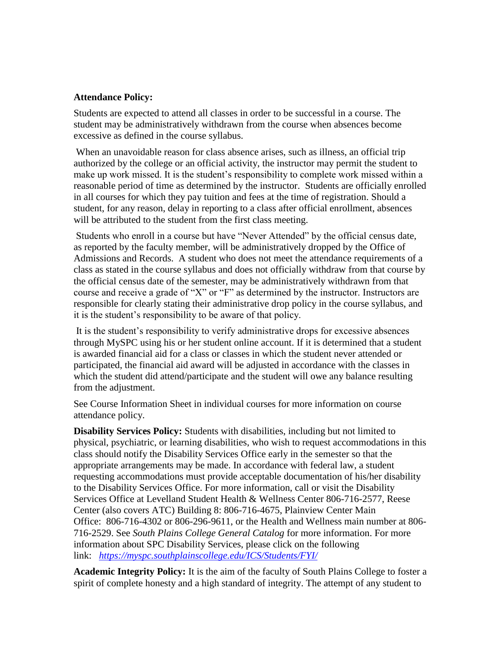#### **Attendance Policy:**

Students are expected to attend all classes in order to be successful in a course. The student may be administratively withdrawn from the course when absences become excessive as defined in the course syllabus.

When an unavoidable reason for class absence arises, such as illness, an official trip authorized by the college or an official activity, the instructor may permit the student to make up work missed. It is the student's responsibility to complete work missed within a reasonable period of time as determined by the instructor. Students are officially enrolled in all courses for which they pay tuition and fees at the time of registration. Should a student, for any reason, delay in reporting to a class after official enrollment, absences will be attributed to the student from the first class meeting.

Students who enroll in a course but have "Never Attended" by the official census date, as reported by the faculty member, will be administratively dropped by the Office of Admissions and Records. A student who does not meet the attendance requirements of a class as stated in the course syllabus and does not officially withdraw from that course by the official census date of the semester, may be administratively withdrawn from that course and receive a grade of "X" or "F" as determined by the instructor. Instructors are responsible for clearly stating their administrative drop policy in the course syllabus, and it is the student's responsibility to be aware of that policy.

It is the student's responsibility to verify administrative drops for excessive absences through MySPC using his or her student online account. If it is determined that a student is awarded financial aid for a class or classes in which the student never attended or participated, the financial aid award will be adjusted in accordance with the classes in which the student did attend/participate and the student will owe any balance resulting from the adjustment.

See Course Information Sheet in individual courses for more information on course attendance policy.

**Disability Services Policy:** Students with disabilities, including but not limited to physical, psychiatric, or learning disabilities, who wish to request accommodations in this class should notify the Disability Services Office early in the semester so that the appropriate arrangements may be made. In accordance with federal law, a student requesting accommodations must provide acceptable documentation of his/her disability to the Disability Services Office. For more information, call or visit the Disability Services Office at Levelland Student Health & Wellness Center 806-716-2577, Reese Center (also covers ATC) Building 8: 806-716-4675, Plainview Center Main Office: 806-716-4302 or 806-296-9611, or the Health and Wellness main number at 806- 716-2529. See *South Plains College General Catalog* for more information. For more information about SPC Disability Services, please click on the following link: *<https://myspc.southplainscollege.edu/ICS/Students/FYI/>*

**Academic Integrity Policy:** It is the aim of the faculty of South Plains College to foster a spirit of complete honesty and a high standard of integrity. The attempt of any student to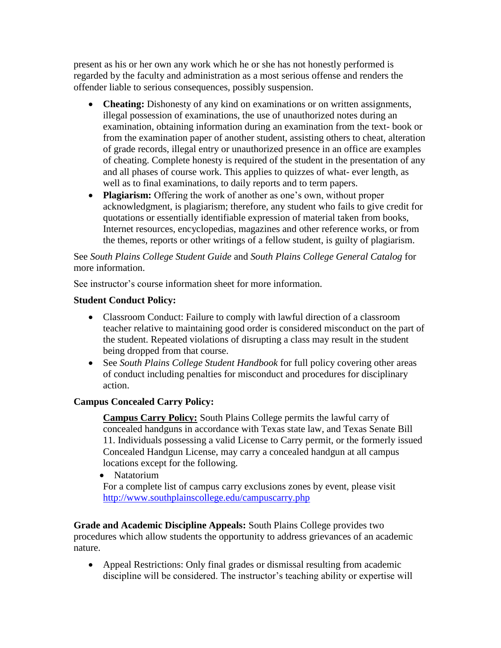present as his or her own any work which he or she has not honestly performed is regarded by the faculty and administration as a most serious offense and renders the offender liable to serious consequences, possibly suspension.

- **Cheating:** Dishonesty of any kind on examinations or on written assignments, illegal possession of examinations, the use of unauthorized notes during an examination, obtaining information during an examination from the text- book or from the examination paper of another student, assisting others to cheat, alteration of grade records, illegal entry or unauthorized presence in an office are examples of cheating. Complete honesty is required of the student in the presentation of any and all phases of course work. This applies to quizzes of what- ever length, as well as to final examinations, to daily reports and to term papers.
- **Plagiarism:** Offering the work of another as one's own, without proper acknowledgment, is plagiarism; therefore, any student who fails to give credit for quotations or essentially identifiable expression of material taken from books, Internet resources, encyclopedias, magazines and other reference works, or from the themes, reports or other writings of a fellow student, is guilty of plagiarism.

See *South Plains College Student Guide* and *South Plains College General Catalog* for more information.

See instructor's course information sheet for more information.

# **Student Conduct Policy:**

- Classroom Conduct: Failure to comply with lawful direction of a classroom teacher relative to maintaining good order is considered misconduct on the part of the student. Repeated violations of disrupting a class may result in the student being dropped from that course.
- See *South Plains College Student Handbook* for full policy covering other areas of conduct including penalties for misconduct and procedures for disciplinary action.

# **Campus Concealed Carry Policy:**

**Campus Carry Policy:** South Plains College permits the lawful carry of concealed handguns in accordance with Texas state law, and Texas Senate Bill 11. Individuals possessing a valid License to Carry permit, or the formerly issued Concealed Handgun License, may carry a concealed handgun at all campus locations except for the following.

• Natatorium

For a complete list of campus carry exclusions zones by event, please visit <http://www.southplainscollege.edu/campuscarry.php>

**Grade and Academic Discipline Appeals:** South Plains College provides two procedures which allow students the opportunity to address grievances of an academic nature.

 Appeal Restrictions: Only final grades or dismissal resulting from academic discipline will be considered. The instructor's teaching ability or expertise will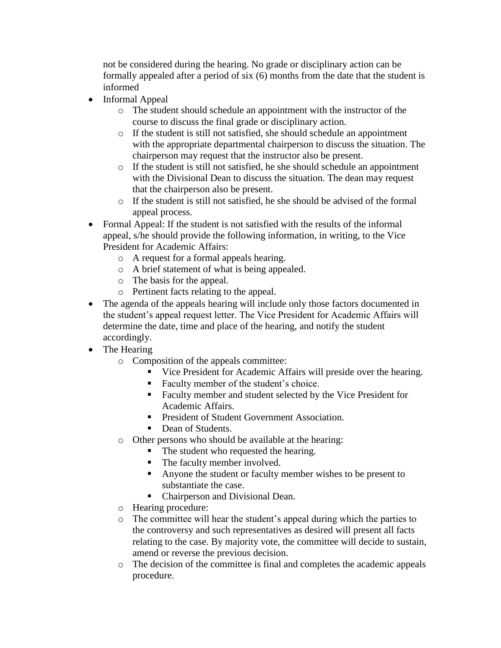not be considered during the hearing. No grade or disciplinary action can be formally appealed after a period of six (6) months from the date that the student is informed

- Informal Appeal
	- o The student should schedule an appointment with the instructor of the course to discuss the final grade or disciplinary action.
	- o If the student is still not satisfied, she should schedule an appointment with the appropriate departmental chairperson to discuss the situation. The chairperson may request that the instructor also be present.
	- o If the student is still not satisfied, he she should schedule an appointment with the Divisional Dean to discuss the situation. The dean may request that the chairperson also be present.
	- o If the student is still not satisfied, he she should be advised of the formal appeal process.
- Formal Appeal: If the student is not satisfied with the results of the informal appeal, s/he should provide the following information, in writing, to the Vice President for Academic Affairs:
	- o A request for a formal appeals hearing.
	- o A brief statement of what is being appealed.
	- o The basis for the appeal.
	- o Pertinent facts relating to the appeal.
- The agenda of the appeals hearing will include only those factors documented in the student's appeal request letter. The Vice President for Academic Affairs will determine the date, time and place of the hearing, and notify the student accordingly.
- The Hearing
	- o Composition of the appeals committee:
		- Vice President for Academic Affairs will preside over the hearing.
		- Faculty member of the student's choice.
		- Faculty member and student selected by the Vice President for Academic Affairs.
		- **President of Student Government Association.**
		- Dean of Students.
	- o Other persons who should be available at the hearing:
		- The student who requested the hearing.
		- The faculty member involved.
		- Anyone the student or faculty member wishes to be present to substantiate the case.
		- Chairperson and Divisional Dean.
	- o Hearing procedure:
	- o The committee will hear the student's appeal during which the parties to the controversy and such representatives as desired will present all facts relating to the case. By majority vote, the committee will decide to sustain, amend or reverse the previous decision.
	- o The decision of the committee is final and completes the academic appeals procedure.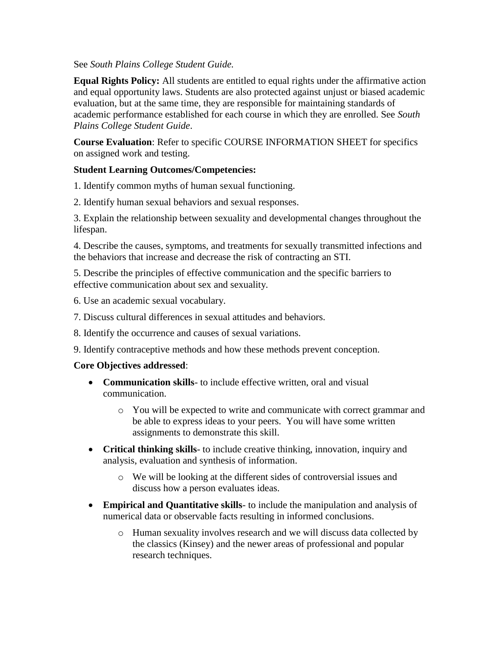## See *South Plains College Student Guide.*

**Equal Rights Policy:** All students are entitled to equal rights under the affirmative action and equal opportunity laws. Students are also protected against unjust or biased academic evaluation, but at the same time, they are responsible for maintaining standards of academic performance established for each course in which they are enrolled. See *South Plains College Student Guide*.

**Course Evaluation**: Refer to specific COURSE INFORMATION SHEET for specifics on assigned work and testing.

# **Student Learning Outcomes/Competencies:**

1. Identify common myths of human sexual functioning.

2. Identify human sexual behaviors and sexual responses.

3. Explain the relationship between sexuality and developmental changes throughout the lifespan.

4. Describe the causes, symptoms, and treatments for sexually transmitted infections and the behaviors that increase and decrease the risk of contracting an STI.

5. Describe the principles of effective communication and the specific barriers to effective communication about sex and sexuality.

- 6. Use an academic sexual vocabulary.
- 7. Discuss cultural differences in sexual attitudes and behaviors.
- 8. Identify the occurrence and causes of sexual variations.
- 9. Identify contraceptive methods and how these methods prevent conception.

## **Core Objectives addressed**:

- **Communication skills** to include effective written, oral and visual communication.
	- o You will be expected to write and communicate with correct grammar and be able to express ideas to your peers. You will have some written assignments to demonstrate this skill.
- **Critical thinking skills** to include creative thinking, innovation, inquiry and analysis, evaluation and synthesis of information.
	- o We will be looking at the different sides of controversial issues and discuss how a person evaluates ideas.
- **Empirical and Quantitative skills** to include the manipulation and analysis of numerical data or observable facts resulting in informed conclusions.
	- o Human sexuality involves research and we will discuss data collected by the classics (Kinsey) and the newer areas of professional and popular research techniques.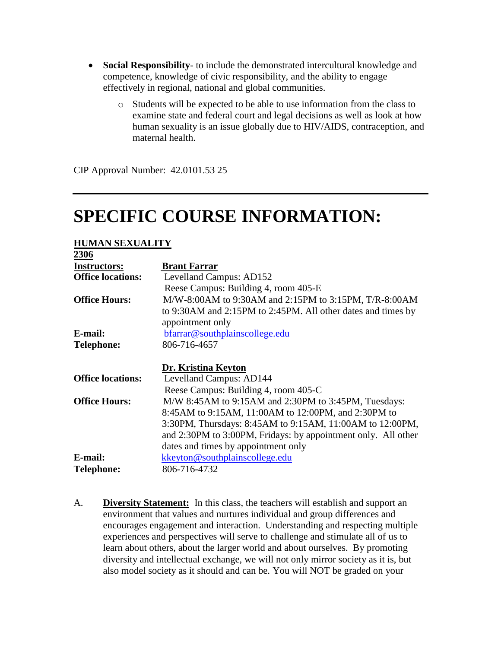- **Social Responsibility** to include the demonstrated intercultural knowledge and competence, knowledge of civic responsibility, and the ability to engage effectively in regional, national and global communities.
	- o Students will be expected to be able to use information from the class to examine state and federal court and legal decisions as well as look at how human sexuality is an issue globally due to HIV/AIDS, contraception, and maternal health.

CIP Approval Number: 42.0101.53 25

# **SPECIFIC COURSE INFORMATION:**

#### **HUMAN SEXUALITY 2306**

| ZJUU                     |                                                               |
|--------------------------|---------------------------------------------------------------|
| <b>Instructors:</b>      | <b>Brant Farrar</b>                                           |
| <b>Office locations:</b> | Levelland Campus: AD152                                       |
|                          | Reese Campus: Building 4, room 405-E                          |
| <b>Office Hours:</b>     | M/W-8:00AM to 9:30AM and 2:15PM to 3:15PM, T/R-8:00AM         |
|                          | to 9:30AM and 2:15PM to 2:45PM. All other dates and times by  |
|                          | appointment only                                              |
| E-mail:                  | bfarrar@southplainscollege.edu                                |
| <b>Telephone:</b>        | 806-716-4657                                                  |
|                          |                                                               |
|                          | Dr. Kristina Keyton                                           |
| <b>Office locations:</b> | Levelland Campus: AD144                                       |
|                          | Reese Campus: Building 4, room 405-C                          |
| <b>Office Hours:</b>     | M/W 8:45AM to 9:15AM and 2:30PM to 3:45PM, Tuesdays:          |
|                          | 8:45AM to 9:15AM, 11:00AM to 12:00PM, and 2:30PM to           |
|                          | 3:30PM, Thursdays: 8:45AM to 9:15AM, 11:00AM to 12:00PM,      |
|                          | and 2:30PM to 3:00PM, Fridays: by appointment only. All other |
|                          | dates and times by appointment only                           |
| E-mail:                  | kkeyton@southplainscollege.edu                                |
| <b>Telephone:</b>        | 806-716-4732                                                  |
|                          |                                                               |

A. **Diversity Statement:** In this class, the teachers will establish and support an environment that values and nurtures individual and group differences and encourages engagement and interaction. Understanding and respecting multiple experiences and perspectives will serve to challenge and stimulate all of us to learn about others, about the larger world and about ourselves. By promoting diversity and intellectual exchange, we will not only mirror society as it is, but also model society as it should and can be. You will NOT be graded on your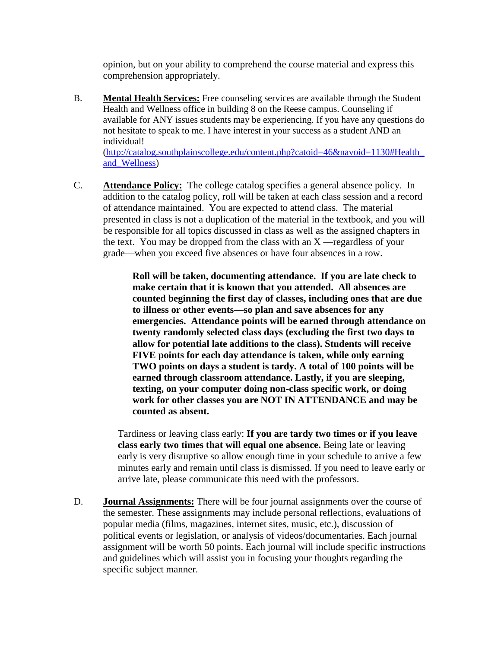opinion, but on your ability to comprehend the course material and express this comprehension appropriately.

B. **Mental Health Services:** Free counseling services are available through the Student Health and Wellness office in building 8 on the Reese campus. Counseling if available for ANY issues students may be experiencing. If you have any questions do not hesitate to speak to me. I have interest in your success as a student AND an individual!

[\(http://catalog.southplainscollege.edu/content.php?catoid=46&navoid=1130#Health\\_](http://catalog.southplainscollege.edu/content.php?catoid=46&navoid=1130#Health_and_Wellness) [and\\_Wellness\)](http://catalog.southplainscollege.edu/content.php?catoid=46&navoid=1130#Health_and_Wellness)

C. **Attendance Policy:** The college catalog specifies a general absence policy. In addition to the catalog policy, roll will be taken at each class session and a record of attendance maintained. You are expected to attend class. The material presented in class is not a duplication of the material in the textbook, and you will be responsible for all topics discussed in class as well as the assigned chapters in the text. You may be dropped from the class with an  $X$ —regardless of your grade—when you exceed five absences or have four absences in a row.

> **Roll will be taken, documenting attendance. If you are late check to make certain that it is known that you attended. All absences are counted beginning the first day of classes, including ones that are due to illness or other events—so plan and save absences for any emergencies. Attendance points will be earned through attendance on twenty randomly selected class days (excluding the first two days to allow for potential late additions to the class). Students will receive FIVE points for each day attendance is taken, while only earning TWO points on days a student is tardy. A total of 100 points will be earned through classroom attendance. Lastly, if you are sleeping, texting, on your computer doing non-class specific work, or doing work for other classes you are NOT IN ATTENDANCE and may be counted as absent.**

Tardiness or leaving class early: **If you are tardy two times or if you leave class early two times that will equal one absence.** Being late or leaving early is very disruptive so allow enough time in your schedule to arrive a few minutes early and remain until class is dismissed. If you need to leave early or arrive late, please communicate this need with the professors.

D. **Journal Assignments:** There will be four journal assignments over the course of the semester. These assignments may include personal reflections, evaluations of popular media (films, magazines, internet sites, music, etc.), discussion of political events or legislation, or analysis of videos/documentaries. Each journal assignment will be worth 50 points. Each journal will include specific instructions and guidelines which will assist you in focusing your thoughts regarding the specific subject manner.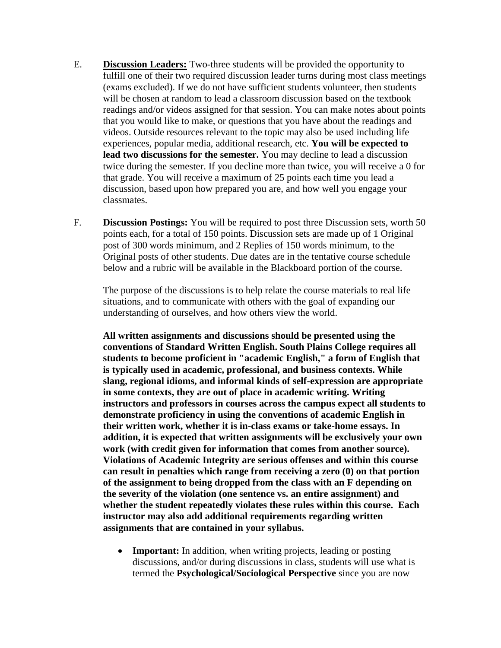- E. **Discussion Leaders:** Two-three students will be provided the opportunity to fulfill one of their two required discussion leader turns during most class meetings (exams excluded). If we do not have sufficient students volunteer, then students will be chosen at random to lead a classroom discussion based on the textbook readings and/or videos assigned for that session. You can make notes about points that you would like to make, or questions that you have about the readings and videos. Outside resources relevant to the topic may also be used including life experiences, popular media, additional research, etc. **You will be expected to lead two discussions for the semester.** You may decline to lead a discussion twice during the semester. If you decline more than twice, you will receive a 0 for that grade. You will receive a maximum of 25 points each time you lead a discussion, based upon how prepared you are, and how well you engage your classmates.
- F. **Discussion Postings:** You will be required to post three Discussion sets, worth 50 points each, for a total of 150 points. Discussion sets are made up of 1 Original post of 300 words minimum, and 2 Replies of 150 words minimum, to the Original posts of other students. Due dates are in the tentative course schedule below and a rubric will be available in the Blackboard portion of the course.

The purpose of the discussions is to help relate the course materials to real life situations, and to communicate with others with the goal of expanding our understanding of ourselves, and how others view the world.

**All written assignments and discussions should be presented using the conventions of Standard Written English. South Plains College requires all students to become proficient in "academic English," a form of English that is typically used in academic, professional, and business contexts. While slang, regional idioms, and informal kinds of self-expression are appropriate in some contexts, they are out of place in academic writing. Writing instructors and professors in courses across the campus expect all students to demonstrate proficiency in using the conventions of academic English in their written work, whether it is in-class exams or take-home essays. In addition, it is expected that written assignments will be exclusively your own work (with credit given for information that comes from another source). Violations of Academic Integrity are serious offenses and within this course can result in penalties which range from receiving a zero (0) on that portion of the assignment to being dropped from the class with an F depending on the severity of the violation (one sentence vs. an entire assignment) and whether the student repeatedly violates these rules within this course. Each instructor may also add additional requirements regarding written assignments that are contained in your syllabus.** 

• **Important:** In addition, when writing projects, leading or posting discussions, and/or during discussions in class, students will use what is termed the **Psychological/Sociological Perspective** since you are now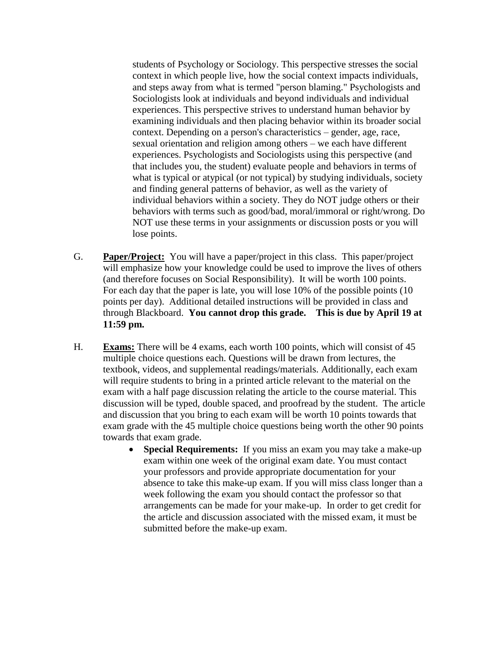students of Psychology or Sociology. This perspective stresses the social context in which people live, how the social context impacts individuals, and steps away from what is termed "person blaming." Psychologists and Sociologists look at individuals and beyond individuals and individual experiences. This perspective strives to understand human behavior by examining individuals and then placing behavior within its broader social context. Depending on a person's characteristics – gender, age, race, sexual orientation and religion among others – we each have different experiences. Psychologists and Sociologists using this perspective (and that includes you, the student) evaluate people and behaviors in terms of what is typical or atypical (or not typical) by studying individuals, society and finding general patterns of behavior, as well as the variety of individual behaviors within a society. They do NOT judge others or their behaviors with terms such as good/bad, moral/immoral or right/wrong. Do NOT use these terms in your assignments or discussion posts or you will lose points.

- G. **Paper/Project:** You will have a paper/project in this class. This paper/project will emphasize how your knowledge could be used to improve the lives of others (and therefore focuses on Social Responsibility). It will be worth 100 points. For each day that the paper is late, you will lose 10% of the possible points (10 points per day). Additional detailed instructions will be provided in class and through Blackboard. **You cannot drop this grade. This is due by April 19 at 11:59 pm.**
- H. **Exams:** There will be 4 exams, each worth 100 points, which will consist of 45 multiple choice questions each. Questions will be drawn from lectures, the textbook, videos, and supplemental readings/materials. Additionally, each exam will require students to bring in a printed article relevant to the material on the exam with a half page discussion relating the article to the course material. This discussion will be typed, double spaced, and proofread by the student. The article and discussion that you bring to each exam will be worth 10 points towards that exam grade with the 45 multiple choice questions being worth the other 90 points towards that exam grade.
	- **Special Requirements:** If you miss an exam you may take a make-up exam within one week of the original exam date. You must contact your professors and provide appropriate documentation for your absence to take this make-up exam. If you will miss class longer than a week following the exam you should contact the professor so that arrangements can be made for your make-up. In order to get credit for the article and discussion associated with the missed exam, it must be submitted before the make-up exam.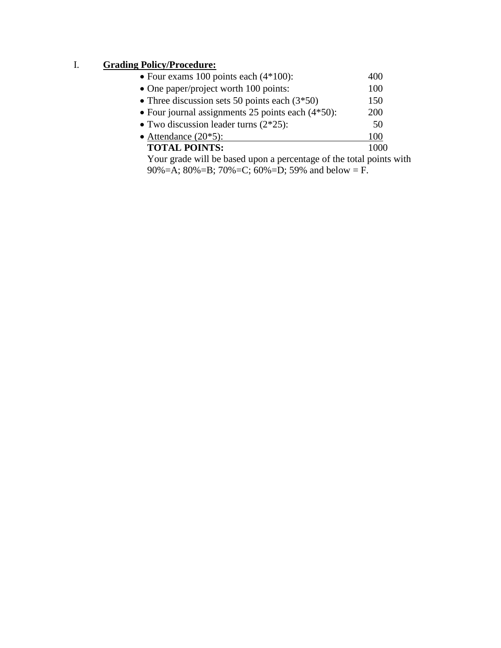# I. **Grading Policy/Procedure:**

| • Four exams 100 points each $(4*100)$ :                            | 400  |  |
|---------------------------------------------------------------------|------|--|
| • One paper/project worth 100 points:                               | 100  |  |
| • Three discussion sets 50 points each $(3*50)$                     | 150  |  |
| • Four journal assignments 25 points each $(4*50)$ :                | 200  |  |
| • Two discussion leader turns $(2*25)$ :                            | 50   |  |
| • Attendance $(20*5)$ :                                             | 100  |  |
| <b>TOTAL POINTS:</b>                                                | 1000 |  |
| Your grade will be based upon a percentage of the total points with |      |  |
| 90%=A; 80%=B; 70%=C; 60%=D; 59% and below = F.                      |      |  |